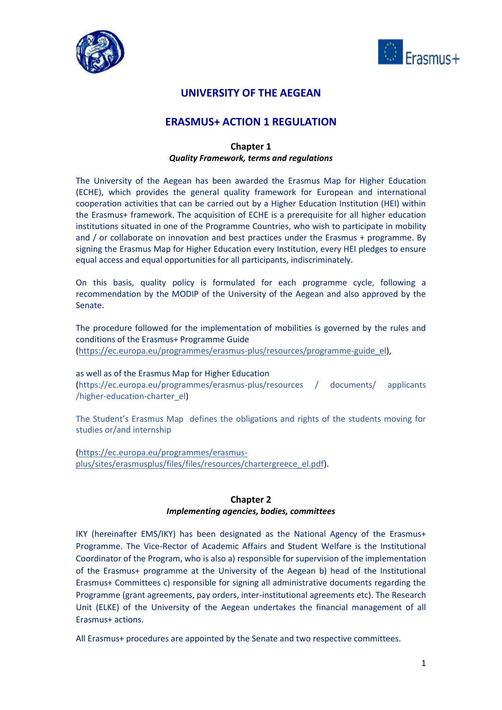



# **UNIVERSITY OF THE AEGEAN**

# **ERASMUS+ ACTION 1 REGULATION**

## **Chapter 1** *Quality Framework, terms and regulations*

The University of the Aegean has been awarded the Erasmus Map for Higher Education (ECHE), which provides the general quality framework for European and international cooperation activities that can be carried out by a Higher Education Institution (HEI) within the Erasmus+ framework. The acquisition of ECHE is a prerequisite for all higher education institutions situated in one of the Programme Countries, who wish to participate in mobility and / or collaborate on innovation and best practices under the Erasmus + programme. By signing the Erasmus Map for Higher Education every Institution, every HEI pledges to ensure equal access and equal opportunities for all participants, indiscriminately.

On this basis, quality policy is formulated for each programme cycle, following a recommendation by the MODIP of the University of the Aegean and also approved by the Senate.

The procedure followed for the implementation of mobilities is governed by the rules and conditions of the Erasmus+ Programme Guide

[\(https://ec.europa.eu/programmes/erasmus-plus/resources/programme-guide\\_el\)](https://ec.europa.eu/programmes/erasmus-plus/resources/programme-guide_el),

### as well as of the Erasmus Map for Higher Education

(https://ec.europa.eu/programmes/erasmus-plus/resources / documents/ applicants /higher-education-charter\_el)

The Student's Erasmus Map defines the obligations and rights of the students moving for studies or/and internship

[\(https://ec.europa.eu/programmes/erasmus](https://ec.europa.eu/programmes/erasmus-plus/sites/erasmusplus/files/files/resources/chartergreece_el.pdf)[plus/sites/erasmusplus/files/files/resources/chartergreece\\_el.pdf\)](https://ec.europa.eu/programmes/erasmus-plus/sites/erasmusplus/files/files/resources/chartergreece_el.pdf).

### **Chapter 2**

### *Implementing agencies, bodies, committees*

IKY (hereinafter EMS/IKY) has been designated as the National Agency of the Erasmus+ Programme. The Vice-Rector of Academic Affairs and Student Welfare is the Institutional Coordinator of the Program, who is also a) responsible for supervision of the implementation of the Erasmus+ programme at the University of the Aegean b) head of the Institutional Erasmus+ Committees c) responsible for signing all administrative documents regarding the Programme (grant agreements, pay orders, inter-institutional agreements etc). The Research Unit (ELKE) of the University of the Aegean undertakes the financial management of all Erasmus+ actions.

All Erasmus+ procedures are appointed by the Senate and two respective committees.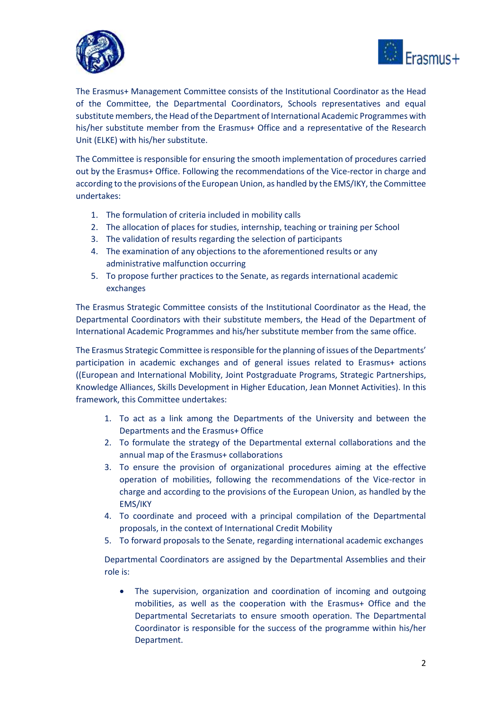



The Erasmus+ Management Committee consists of the Institutional Coordinator as the Head of the Committee, the Departmental Coordinators, Schools representatives and equal substitute members, the Head of the Department of International Academic Programmes with his/her substitute member from the Erasmus+ Office and a representative of the Research Unit (ELKE) with his/her substitute.

The Committee is responsible for ensuring the smooth implementation of procedures carried out by the Erasmus+ Office. Following the recommendations of the Vice-rector in charge and according to the provisions of the European Union, as handled by the EMS/IKY, the Committee undertakes:

- 1. The formulation of criteria included in mobility calls
- 2. The allocation of places for studies, internship, teaching or training per School
- 3. The validation of results regarding the selection of participants
- 4. The examination of any objections tο the aforementioned results or any administrative malfunction occurring
- 5. To propose further practices to the Senate, as regards international academic exchanges

The Erasmus Strategic Committee consists of the Institutional Coordinator as the Head, the Departmental Coordinators with their substitute members, the Head of the Department of International Academic Programmes and his/her substitute member from the same office.

The Erasmus Strategic Committee is responsible for the planning of issues of the Departments' participation in academic exchanges and of general issues related to Erasmus+ actions ((European and International Mobility, Joint Postgraduate Programs, Strategic Partnerships, Knowledge Alliances, Skills Development in Higher Education, Jean Monnet Activities). In this framework, this Committee undertakes:

- 1. To act as a link among the Departments of the University and between the Departments and the Erasmus+ Office
- 2. To formulate the strategy of the Departmental external collaborations and the annual map of the Erasmus+ collaborations
- 3. To ensure the provision of organizational procedures aiming at the effective operation of mobilities, following the recommendations of the Vice-rector in charge and according to the provisions of the European Union, as handled by the EMS/IKY
- 4. To coordinate and proceed with a principal compilation of the Departmental proposals, in the context of International Credit Mobility
- 5. To forward proposals to the Senate, regarding international academic exchanges

Departmental Coordinators are assigned by the Departmental Assemblies and their role is:

• The supervision, organization and coordination of incoming and outgoing mobilities, as well as the cooperation with the Erasmus+ Office and the Departmental Secretariats to ensure smooth operation. The Departmental Coordinator is responsible for the success of the programme within his/her Department.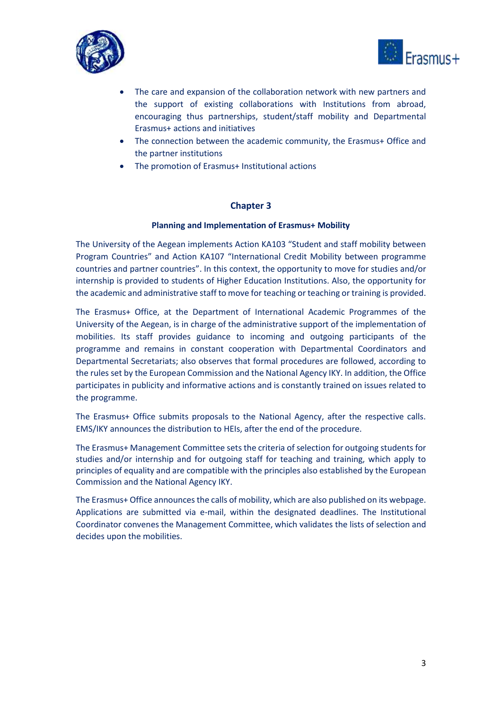



- The care and expansion of the collaboration network with new partners and the support of existing collaborations with Institutions from abroad, encouraging thus partnerships, student/staff mobility and Departmental Erasmus+ actions and initiatives
- The connection between the academic community, the Erasmus+ Office and the partner institutions
- The promotion of Erasmus+ Institutional actions

## **Chapter 3**

## **Planning and Implementation of Erasmus+ Mobility**

The University of the Aegean implements Action KA103 "Student and staff mobility between Program Countries" and Action KA107 "International Credit Mobility between programme countries and partner countries". In this context, the opportunity to move for studies and/or internship is provided to students of Higher Education Institutions. Also, the opportunity for the academic and administrative staff to move for teaching or teaching or training is provided.

The Erasmus+ Office, at the Department of International Academic Programmes of the University of the Aegean, is in charge of the administrative support of the implementation of mobilities. Its staff provides guidance to incoming and outgoing participants of the programme and remains in constant cooperation with Departmental Coordinators and Departmental Secretariats; also observes that formal procedures are followed, according to the rules set by the European Commission and the National Agency IKY. In addition, the Office participates in publicity and informative actions and is constantly trained on issues related to the programme.

The Erasmus+ Office submits proposals to the National Agency, after the respective calls. EMS/IKY announces the distribution to HEIs, after the end of the procedure.

The Erasmus+ Management Committee sets the criteria of selection for outgoing students for studies and/or internship and for outgoing staff for teaching and training, which apply to principles of equality and are compatible with the principles also established by the European Commission and the National Agency IKY.

The Erasmus+ Office announces the calls of mobility, which are also published on its webpage. Applications are submitted via e-mail, within the designated deadlines. The Institutional Coordinator convenes the Management Committee, which validates the lists of selection and decides upon the mobilities.